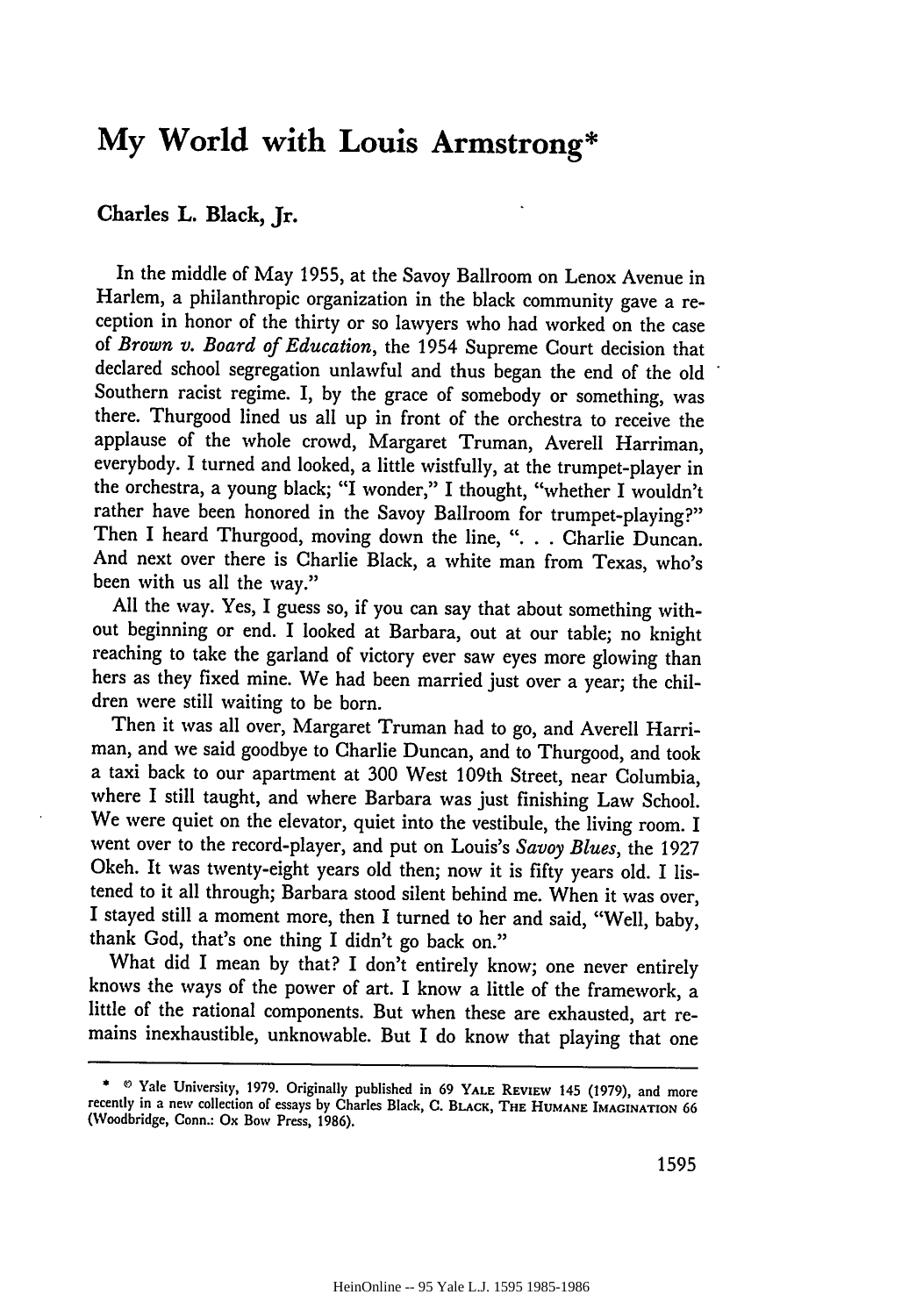## **My World with Louis Armstrong\***

## **Charles L.** Black, **Jr.**

In the middle of May **1955,** at the Savoy Ballroom on Lenox Avenue in Harlem, a philanthropic organization in the black community gave a reception in honor of the thirty or so lawyers who had worked on the case of *Brown v. Board of Education,* the 1954 Supreme Court decision that declared school segregation unlawful and thus began the end of the old Southern racist regime. I, by the grace of somebody or something, was there. Thurgood lined us all up in front of the orchestra to receive the applause of the whole crowd, Margaret Truman, Averell Harriman, everybody. I turned and looked, a little wistfully, at the trumpet-player in the orchestra, a young black; "I wonder," I thought, "whether I wouldn't rather have been honored in the Savoy Ballroom for trumpet-playing?" Then I heard Thurgood, moving down the line, ". . . Charlie Duncan. And next over there is Charlie Black, a white man from Texas, who's been with us all the way."

All the way. Yes, I guess so, if you can say that about something without beginning or end. I looked at Barbara, out at our table; no knight reaching to take the garland of victory ever saw eyes more glowing than hers as they fixed mine. We had been married just over a year; the children were still waiting to be born.

Then it was all over, Margaret Truman had to go, and Averell Harriman, and we said goodbye to Charlie Duncan, and to Thurgood, and took a taxi back to our apartment at 300 West 109th Street, near Columbia, where I still taught, and where Barbara was just finishing Law School. We were quiet on the elevator, quiet into the vestibule, the living room. I went over to the record-player, and put on Louis's *Savoy Blues,* the 1927 Okeh. It was twenty-eight years old then; now it is fifty years old. I listened to it all through; Barbara stood silent behind me. When it was over, I stayed still a moment more, then I turned to her and said, "Well, baby, thank God, that's one thing I didn't go back on."

What did I mean by that? I don't entirely know; one never entirely knows the ways of the power of art. I know a little of the framework, a little of the rational components. But when these are exhausted, art remains inexhaustible, unknowable. But I do know that playing that one

<sup>\*</sup> **0** Yale University, **1979.** Originally published in 69 **YALE** REVIEW 145 (1979), and more recently in a new collection of essays **by** Charles Black, C. BLACK, **THE HUMANE IMAGINATION** <sup>66</sup> (Woodbridge, Conn.: Ox Bow Press, 1986).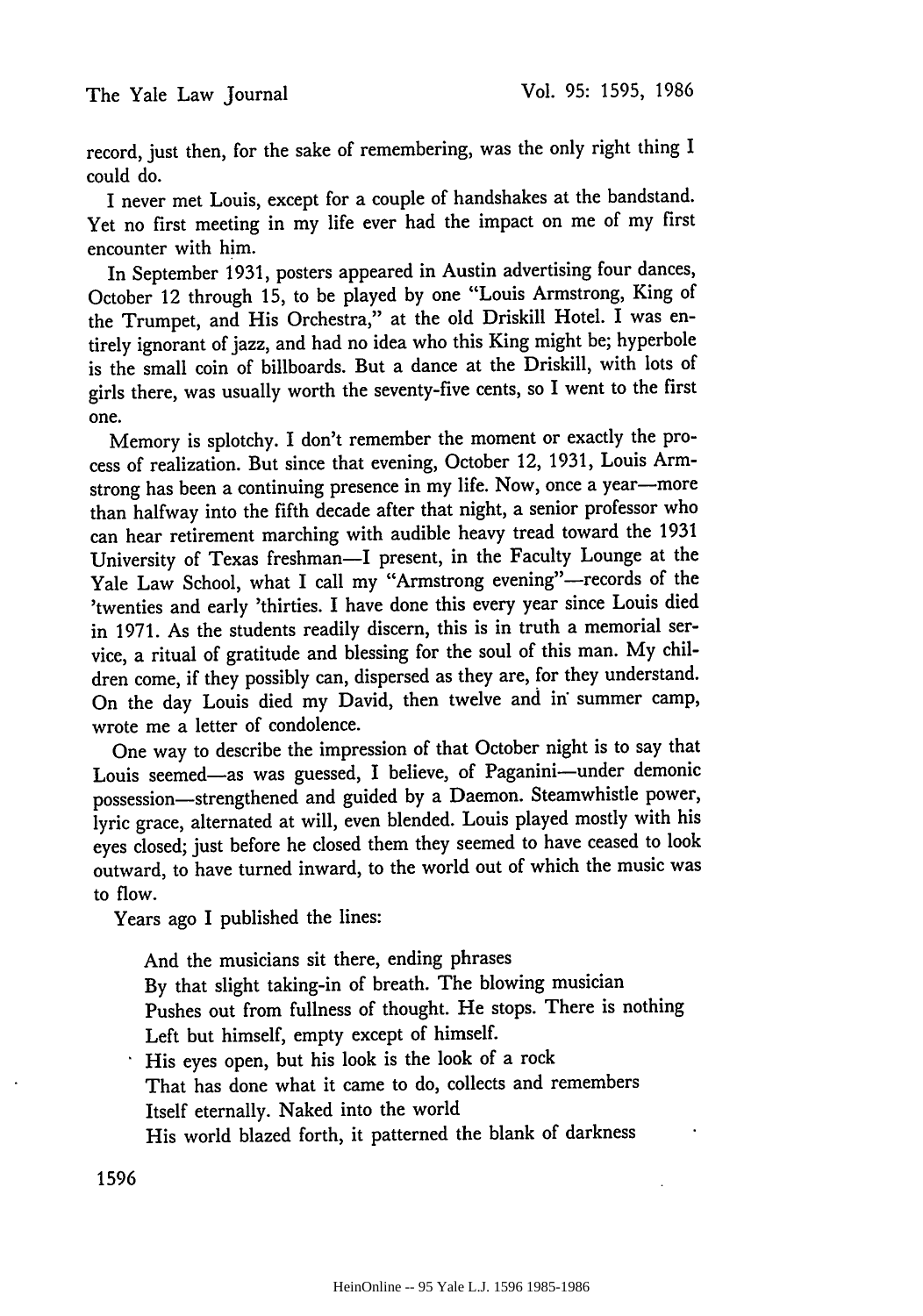record, just then, for the sake of remembering, was the only right thing I could do.

I never met Louis, except for a couple of handshakes at the bandstand. Yet no first meeting in my life ever had the impact on me of my first encounter with him.

In September 1931, posters appeared in Austin advertising four dances, October 12 through 15, to be played by one "Louis Armstrong, King of the Trumpet, and His Orchestra," at the old Driskill Hotel. I was entirely ignorant of jazz, and had no idea who this King might be; hyperbole is the small coin of billboards. But a dance at the Driskill, with lots of girls there, was usually worth the seventy-five cents, so I went to the first one.

Memory is splotchy. I don't remember the moment or exactly the process of realization. But since that evening, October 12, 1931, Louis Armstrong has been a continuing presence in my life. Now, once a year-more than halfway into the fifth decade after that night, a senior professor who can hear retirement marching with audible heavy tread toward the 1931 University of Texas freshman-I present, in the Faculty Lounge at the Yale Law School, what I call my "Armstrong evening"-records of the 'twenties and early 'thirties. I have done this every year since Louis died in 1971. As the students readily discern, this is in truth a memorial service, a ritual of gratitude and blessing for the soul of this man. My children come, if they possibly can, dispersed as they are, for they understand. On the day Louis died my David, then twelve and in" summer camp, wrote me a letter of condolence.

One way to describe the impression of that October night is to say that Louis seemed-as was guessed, I believe, of Paganini-under demonic possession-strengthened and guided by a Daemon. Steamwhistle power, lyric grace, alternated at will, even blended. Louis played mostly with his eyes closed; just before he closed them they seemed to have ceased to look outward, to have turned inward, to the world out of which the music was to flow.

Years ago I published the lines:

And the musicians sit there, ending phrases By that slight taking-in of breath. The blowing musician Pushes out from fullness of thought. He stops. There is nothing Left but himself, empty except of himself. His eyes open, but his look is the look of a rock That has done what it came to do, collects and remembers Itself eternally. Naked into the world His world blazed forth, it patterned the blank of darkness

1596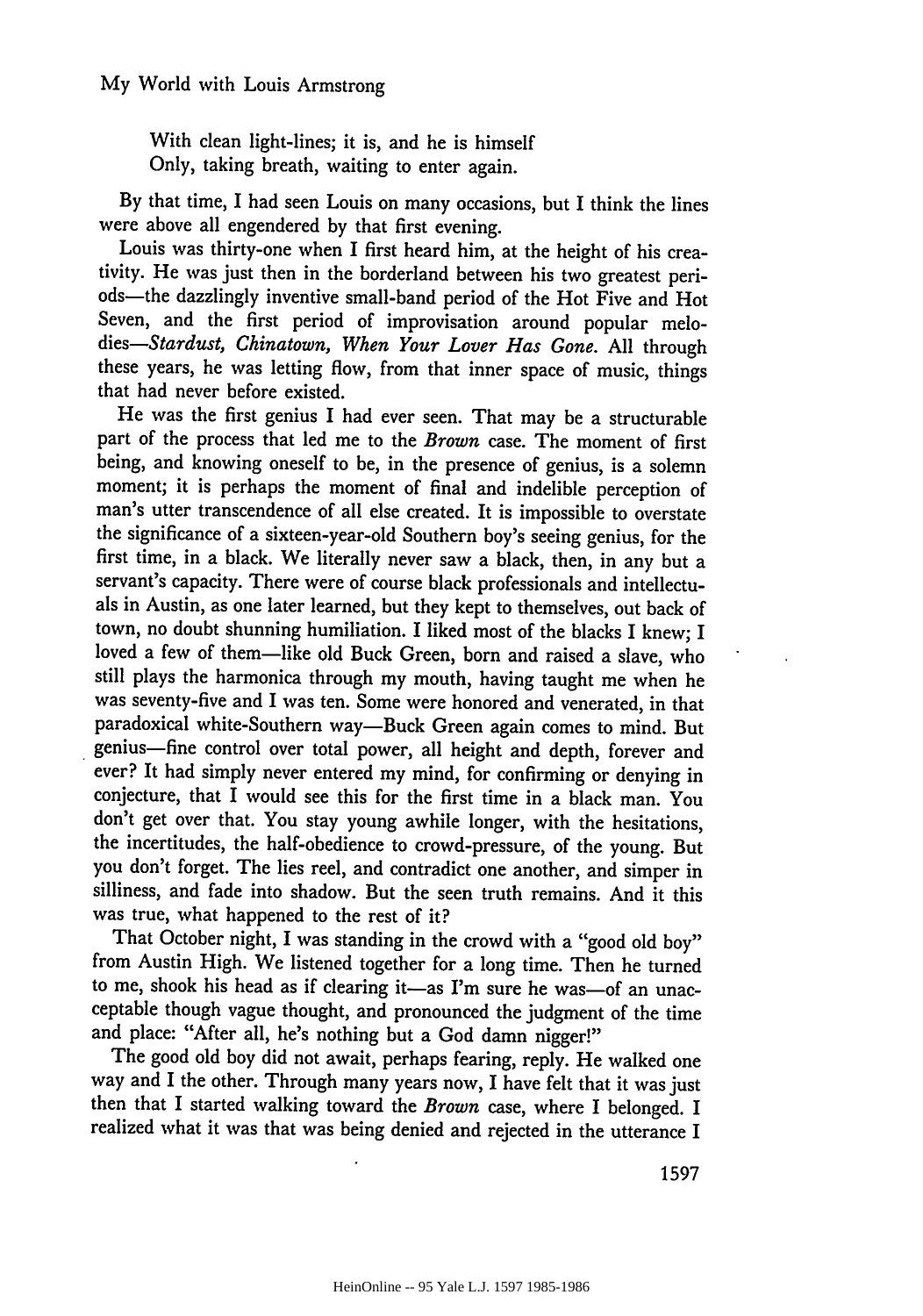With clean light-lines; it is, and he is himself Only, taking breath, waiting to enter again.

By that time, I had seen Louis on many occasions, but I think the lines were above all engendered by that first evening.

Louis was thirty-one when I first heard him, at the height of his creativity. He was just then in the borderland between his two greatest periods-the dazzlingly inventive small-band period of the Hot Five and Hot Seven, and the first period of improvisation around popular melo*dies-Stardust, Chinatown, When Your Lover Has Gone.* All through these years, he was letting flow, from that inner space of music, things that had never before existed.

He was the first genius I had ever seen. That may be a structurable part of the process that led me to the *Brown* case. The moment of first being, and knowing oneself to be, in the presence of genius, is a solemn moment; it is perhaps the moment of final and indelible perception of man's utter transcendence of all else created. It is impossible to overstate the significance of a sixteen-year-old Southern boy's seeing genius, for the first time, in a black. We literally never saw a black, then, in any but a servant's capacity. There were of course black professionals and intellectuals in Austin, as one later learned, but they kept to themselves, out back of town, no doubt shunning humiliation. I liked most of the blacks I knew; I loved a few of them-like old Buck Green, born and raised a slave, who still plays the harmonica through my mouth, having taught me when he was seventy-five and I was ten. Some were honored and venerated, in that paradoxical white-Southern way-Buck Green again comes to mind. But genius-fine control over total power, all height and depth, forever and ever? It had simply never entered my mind, for confirming or denying in conjecture, that I would see this for the first time in a black man. You don't get over that. You stay young awhile longer, with the hesitations, the incertitudes, the half-obedience to crowd-pressure, of the young. But you don't forget. The lies reel, and contradict one another, and simper in silliness, and fade into shadow. But the seen truth remains. And it this was true, what happened to the rest of it?

That October night, I was standing in the crowd with a "good old boy" from Austin High. We listened together for a long time. Then he turned to me, shook his head as if clearing it-as I'm sure he was-of an unacceptable though vague thought, and pronounced the judgment of the time and place: "After all, he's nothing but a God damn nigger!"

The good old boy did not await, perhaps fearing, reply. He walked one way and I the other. Through many years now, I have felt that it was just then that I started walking toward the *Brown* case, where I belonged. I realized what it was that was being denied and rejected in the utterance I

1597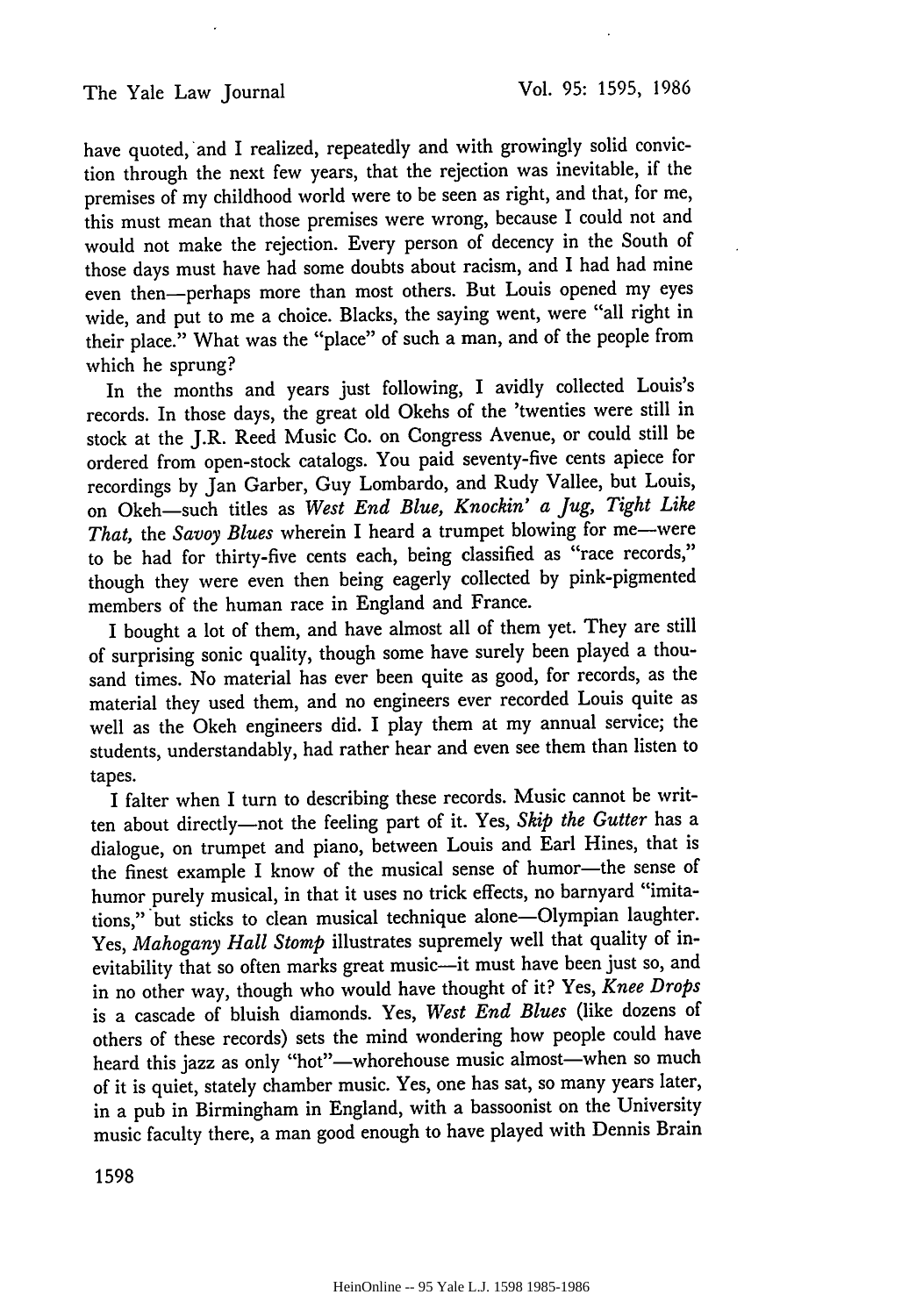have quoted, and I realized, repeatedly and with growingly solid conviction through the next few years, that the rejection was inevitable, if the premises of my childhood world were to be seen as right, and that, for me, this must mean that those premises were wrong, because I could not and would not make the rejection. Every person of decency in the South of those days must have had some doubts about racism, and I had had mine even then-perhaps more than most others. But Louis opened my eyes wide, and put to me a choice. Blacks, the saying went, were "all right in their place." What was the "place" of such a man, and of the people from which he sprung?

In the months and years just following, I avidly collected Louis's records. In those days, the great old Okehs of the 'twenties were still in stock at the J.R. Reed Music Co. on Congress Avenue, or could still be ordered from open-stock catalogs. You paid seventy-five cents apiece for recordings by Jan Garber, Guy Lombardo, and Rudy Vallee, but Louis, on Okeh-such titles as *West End Blue, Knockin' a Jug, Tight Like* That, the *Savoy Blues* wherein I heard a trumpet blowing for me-were to **be** had for thirty-five cents each, being classified as "race records," though they were even then being eagerly collected **by** pink-pigmented members of the human race in England and France.

I bought a lot of them, and have almost all of them yet. They are still of surprising sonic quality, though some have surely been played a thousand times. No material has ever been quite as good, for records, as the material they used them, and no engineers ever recorded Louis quite as well as the Okeh engineers did. I play them at my annual service; the students, understandably, had rather hear and even see them than listen to tapes.

I falter when I turn to describing these records. Music cannot be written about directly-not the feeling part of it. Yes, *Skip the Gutter* has a dialogue, on trumpet and piano, between Louis and Earl Hines, that is the finest example I know of the musical sense of humor-the sense of humor purely musical, in that it uses no trick effects, no barnyard "imitations," but sticks to clean musical technique alone-Olympian laughter. Yes, *Mahogany Hall Stomp* illustrates supremely well that quality of inevitability that so often marks great music-it must have been just so, and in no other way, though who would have thought of it? Yes, *Knee Drops* is a cascade of bluish diamonds. Yes, *West End Blues* (like dozens of others of these records) sets the mind wondering how people could have heard this jazz as only "hot"-whorehouse music almost-when so much of it is quiet, stately chamber music. Yes, one has sat, so many years later, in a pub in Birmingham in England, with a bassoonist on the University music faculty there, a man good enough to have played with Dennis Brain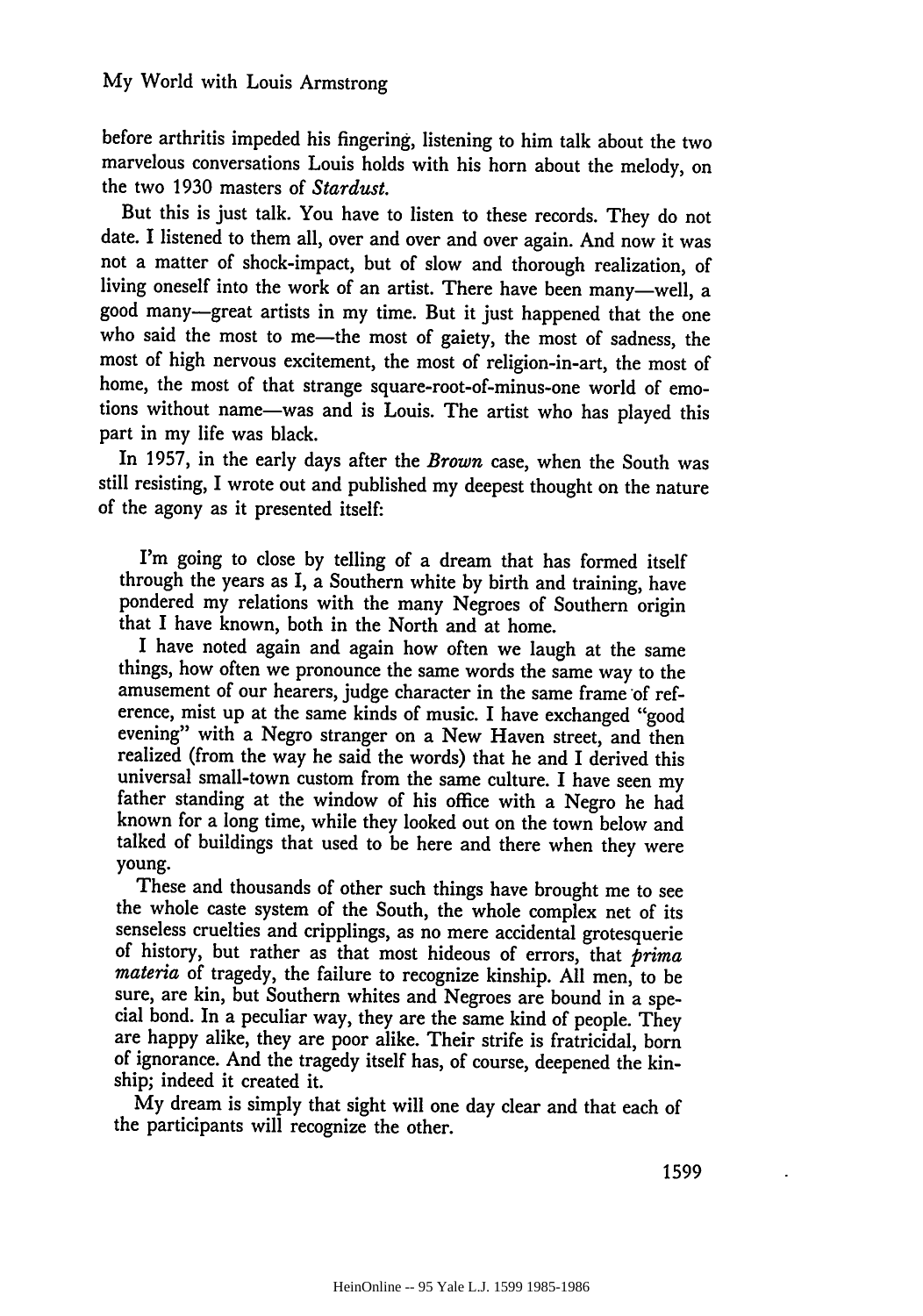before arthritis impeded his fingering, listening to him talk about the two marvelous conversations Louis holds with his horn about the melody, on the two 1930 masters of *Stardust.*

But this is just talk. You have to listen to these records. They do not date. I listened to them all, over and over and over again. And now it was not a matter of shock-impact, but of slow and thorough realization, of living oneself into the work of an artist. There have been many-well, a good many-great artists in my time. But it just happened that the one who said the most to me-the most of gaiety, the most of sadness, the most of high nervous excitement, the most of religion-in-art, the most of home, the most of that strange square-root-of-minus-one world of emotions without name-was and is Louis. The artist who has played this part in my life was black.

In 1957, in the early days after the *Brown* case, when the South was still resisting, I wrote out and published my deepest thought on the nature of the agony as it presented itself:

I'm going to close by telling of a dream that has formed itself through the years as I, a Southern white by birth and training, have pondered my relations with the many Negroes of Southern origin that I have known, both in the North and at home.

I have noted again and again how often we laugh at the same things, how often we pronounce the same words the same way to the amusement of our hearers, judge character in the same frame of reference, mist up at the same kinds of music. I have exchanged "good evening" with a Negro stranger on a New Haven street, and then realized (from the way he said the words) that he and I derived this universal small-town custom from the same culture. I have seen my father standing at the window of his office with a Negro he had known for a long time, while they looked out on the town below and talked of buildings that used to be here and there when they were young.

These and thousands of other such things have brought me to see the whole caste system of the South, the whole complex net of its senseless cruelties and cripplings, as no mere accidental grotesquerie of history, but rather as that most hideous of errors, that *prima materia* of tragedy, the failure to recognize kinship. All men, to be sure, are kin, but Southern whites and Negroes are bound in a spe- cial bond. In a peculiar way, they are the same kind of people. They are happy alike, they are poor alike. Their strife is fratricidal, born of ignorance. And the tragedy itself has, of course, deepened the kinship; indeed it created it.

My dream is simply that sight will one day clear and that each of the participants will recognize the other.